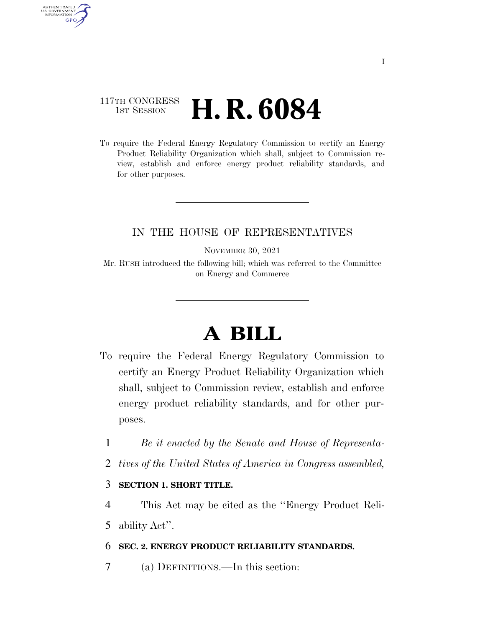## 117TH CONGRESS **1st Session H. R. 6084**

AUTHENTICATED<br>U.S. GOVERNMENT<br>INFORMATION GPO

> To require the Federal Energy Regulatory Commission to certify an Energy Product Reliability Organization which shall, subject to Commission review, establish and enforce energy product reliability standards, and for other purposes.

### IN THE HOUSE OF REPRESENTATIVES

NOVEMBER 30, 2021

Mr. RUSH introduced the following bill; which was referred to the Committee on Energy and Commerce

# **A BILL**

- To require the Federal Energy Regulatory Commission to certify an Energy Product Reliability Organization which shall, subject to Commission review, establish and enforce energy product reliability standards, and for other purposes.
	- 1 *Be it enacted by the Senate and House of Representa-*
	- 2 *tives of the United States of America in Congress assembled,*

#### 3 **SECTION 1. SHORT TITLE.**

4 This Act may be cited as the ''Energy Product Reli-5 ability Act''.

### 6 **SEC. 2. ENERGY PRODUCT RELIABILITY STANDARDS.**

7 (a) DEFINITIONS.—In this section: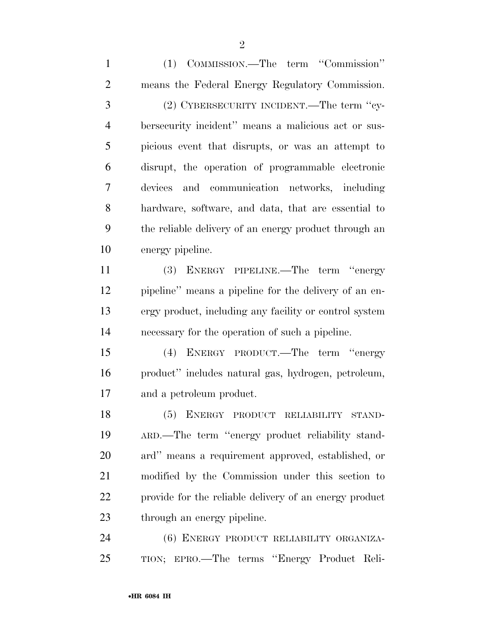(1) COMMISSION.—The term ''Commission'' means the Federal Energy Regulatory Commission. (2) CYBERSECURITY INCIDENT.—The term ''cy- bersecurity incident'' means a malicious act or sus- picious event that disrupts, or was an attempt to disrupt, the operation of programmable electronic devices and communication networks, including hardware, software, and data, that are essential to the reliable delivery of an energy product through an energy pipeline. (3) ENERGY PIPELINE.—The term ''energy pipeline'' means a pipeline for the delivery of an en- ergy product, including any facility or control system necessary for the operation of such a pipeline. (4) ENERGY PRODUCT.—The term ''energy product'' includes natural gas, hydrogen, petroleum, and a petroleum product. (5) ENERGY PRODUCT RELIABILITY STAND- ARD.—The term ''energy product reliability stand- ard'' means a requirement approved, established, or modified by the Commission under this section to provide for the reliable delivery of an energy product through an energy pipeline. (6) ENERGY PRODUCT RELIABILITY ORGANIZA-TION; EPRO.—The terms ''Energy Product Reli-

 $\mathfrak{D}$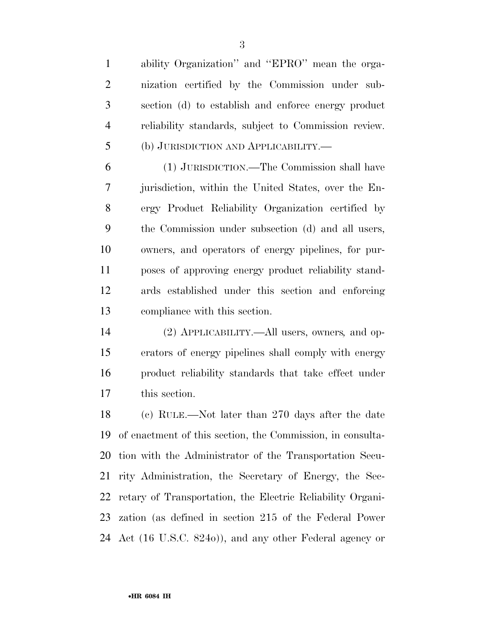ability Organization'' and ''EPRO'' mean the orga- nization certified by the Commission under sub- section (d) to establish and enforce energy product reliability standards, subject to Commission review. (b) JURISDICTION AND APPLICABILITY.—

 (1) JURISDICTION.—The Commission shall have jurisdiction, within the United States, over the En- ergy Product Reliability Organization certified by the Commission under subsection (d) and all users, owners, and operators of energy pipelines, for pur- poses of approving energy product reliability stand- ards established under this section and enforcing compliance with this section.

 (2) APPLICABILITY.—All users, owners*,* and op- erators of energy pipelines shall comply with energy product reliability standards that take effect under this section.

 (c) RULE.—Not later than 270 days after the date of enactment of this section, the Commission, in consulta- tion with the Administrator of the Transportation Secu- rity Administration, the Secretary of Energy, the Sec- retary of Transportation, the Electric Reliability Organi- zation (as defined in section 215 of the Federal Power Act (16 U.S.C. 824o)), and any other Federal agency or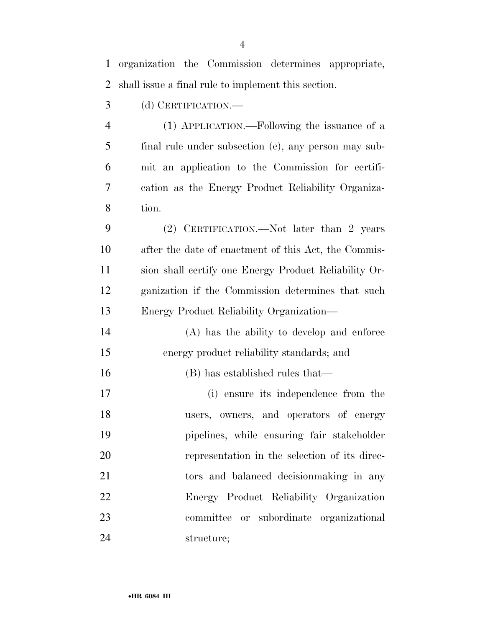organization the Commission determines appropriate, shall issue a final rule to implement this section. (d) CERTIFICATION.— (1) APPLICATION.—Following the issuance of a final rule under subsection (c), any person may sub- mit an application to the Commission for certifi- cation as the Energy Product Reliability Organiza- tion. (2) CERTIFICATION.—Not later than 2 years after the date of enactment of this Act, the Commis- sion shall certify one Energy Product Reliability Or- ganization if the Commission determines that such Energy Product Reliability Organization— (A) has the ability to develop and enforce energy product reliability standards; and (B) has established rules that— (i) ensure its independence from the users, owners, and operators of energy pipelines, while ensuring fair stakeholder representation in the selection of its direc- tors and balanced decisionmaking in any Energy Product Reliability Organization committee or subordinate organizational structure;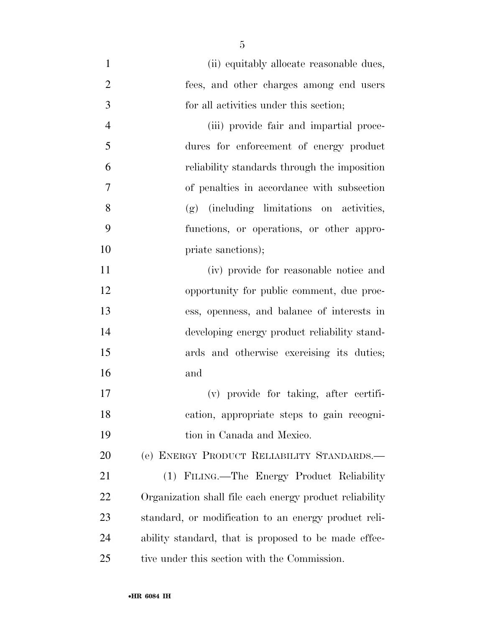| $\mathbf{1}$   | (ii) equitably allocate reasonable dues,                |
|----------------|---------------------------------------------------------|
| $\overline{2}$ | fees, and other charges among end users                 |
| 3              | for all activities under this section;                  |
| $\overline{4}$ | (iii) provide fair and impartial proce-                 |
| 5              | dures for enforcement of energy product                 |
| 6              | reliability standards through the imposition            |
| 7              | of penalties in accordance with subsection              |
| 8              | (g) (including limitations on activities,               |
| 9              | functions, or operations, or other appro-               |
| 10             | priate sanctions);                                      |
| 11             | (iv) provide for reasonable notice and                  |
| 12             | opportunity for public comment, due proc-               |
| 13             | ess, openness, and balance of interests in              |
| 14             | developing energy product reliability stand-            |
| 15             | ards and otherwise exercising its duties;               |
| 16             | and                                                     |
| 17             | (v) provide for taking, after certifi-                  |
| 18             | cation, appropriate steps to gain recogni-              |
| 19             | tion in Canada and Mexico.                              |
| 20             | (e) ENERGY PRODUCT RELIABILITY STANDARDS.-              |
| 21             | (1) FILING.—The Energy Product Reliability              |
| 22             | Organization shall file each energy product reliability |
| 23             | standard, or modification to an energy product reli-    |
| 24             | ability standard, that is proposed to be made effec-    |
| 25             | tive under this section with the Commission.            |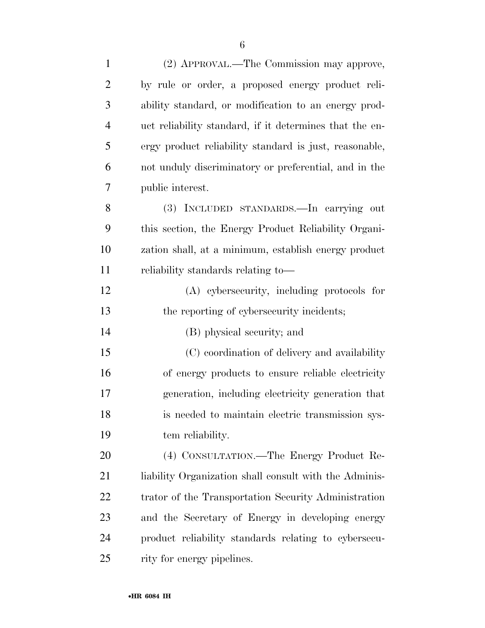| $\mathbf{1}$   | (2) APPROVAL.—The Commission may approve,               |
|----------------|---------------------------------------------------------|
| $\overline{2}$ | by rule or order, a proposed energy product reli-       |
| 3              | ability standard, or modification to an energy prod-    |
| $\overline{4}$ | uct reliability standard, if it determines that the en- |
| 5              | ergy product reliability standard is just, reasonable,  |
| 6              | not unduly discriminatory or preferential, and in the   |
| 7              | public interest.                                        |
| 8              | (3) INCLUDED STANDARDS.—In carrying out                 |
| 9              | this section, the Energy Product Reliability Organi-    |
| 10             | zation shall, at a minimum, establish energy product    |
| 11             | reliability standards relating to—                      |
| 12             | (A) cybersecurity, including protocols for              |
| 13             | the reporting of cybersecurity incidents;               |
| 14             | (B) physical security; and                              |
| 15             | (C) coordination of delivery and availability           |
| 16             | of energy products to ensure reliable electricity       |
| 17             | generation, including electricity generation that       |
| 18             | is needed to maintain electric transmission sys-        |
| 19             | tem reliability.                                        |
| 20             | (4) CONSULTATION.—The Energy Product Re-                |
| 21             | liability Organization shall consult with the Adminis-  |
| 22             | trator of the Transportation Security Administration    |
| 23             | and the Secretary of Energy in developing energy        |
| 24             | product reliability standards relating to cybersecu-    |
| 25             | rity for energy pipelines.                              |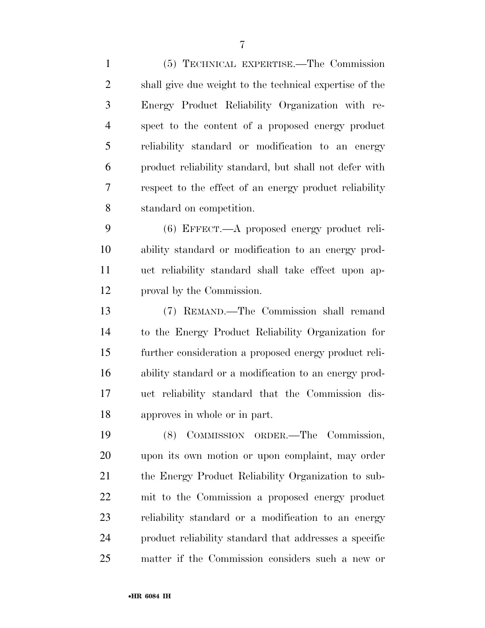(5) TECHNICAL EXPERTISE.—The Commission shall give due weight to the technical expertise of the Energy Product Reliability Organization with re- spect to the content of a proposed energy product reliability standard or modification to an energy product reliability standard, but shall not defer with respect to the effect of an energy product reliability standard on competition.

 (6) EFFECT.—A proposed energy product reli- ability standard or modification to an energy prod- uct reliability standard shall take effect upon ap-proval by the Commission.

 (7) REMAND.—The Commission shall remand to the Energy Product Reliability Organization for further consideration a proposed energy product reli- ability standard or a modification to an energy prod- uct reliability standard that the Commission dis-approves in whole or in part.

 (8) COMMISSION ORDER.—The Commission, upon its own motion or upon complaint, may order the Energy Product Reliability Organization to sub- mit to the Commission a proposed energy product reliability standard or a modification to an energy product reliability standard that addresses a specific matter if the Commission considers such a new or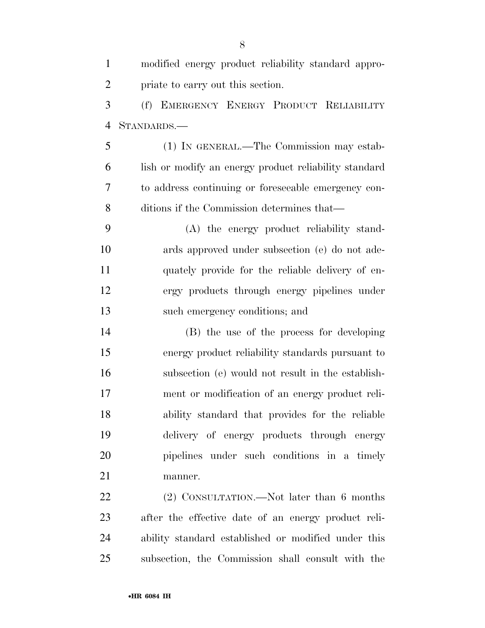| $\mathbf{1}$   | modified energy product reliability standard appro-   |
|----------------|-------------------------------------------------------|
| $\overline{2}$ | priate to carry out this section.                     |
| 3              | (f) EMERGENCY ENERGY PRODUCT RELIABILITY              |
| $\overline{4}$ | STANDARDS.-                                           |
| 5              | (1) IN GENERAL.—The Commission may estab-             |
| 6              | lish or modify an energy product reliability standard |
| 7              | to address continuing or foreseeable emergency con-   |
| 8              | ditions if the Commission determines that—            |
| 9              | (A) the energy product reliability stand-             |
| 10             | ards approved under subsection (e) do not ade-        |
| 11             | quately provide for the reliable delivery of en-      |
| 12             | ergy products through energy pipelines under          |
| 13             | such emergency conditions; and                        |
| 14             | (B) the use of the process for developing             |
| 15             | energy product reliability standards pursuant to      |
| 16             | subsection (e) would not result in the establish-     |
| 17             | ment or modification of an energy product reli-       |
| 18             | ability standard that provides for the reliable       |
| 19             | delivery of energy products through energy            |
| 20             | pipelines under such conditions in a timely           |
| 21             | manner.                                               |
| 22             | (2) CONSULTATION.—Not later than 6 months             |
| 23             | after the effective date of an energy product reli-   |
| 24             | ability standard established or modified under this   |

subsection, the Commission shall consult with the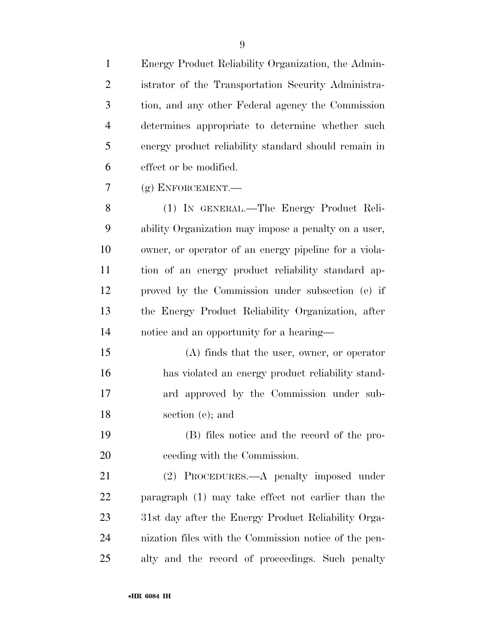| $\mathbf{1}$   | Energy Product Reliability Organization, the Admin-   |
|----------------|-------------------------------------------------------|
| $\overline{2}$ | istrator of the Transportation Security Administra-   |
| 3              | tion, and any other Federal agency the Commission     |
| $\overline{4}$ | determines appropriate to determine whether such      |
| 5              | energy product reliability standard should remain in  |
| 6              | effect or be modified.                                |
| 7              | $(g)$ ENFORCEMENT.—                                   |
| 8              | (1) IN GENERAL.—The Energy Product Reli-              |
| 9              | ability Organization may impose a penalty on a user,  |
| 10             | owner, or operator of an energy pipeline for a viola- |
| 11             | tion of an energy product reliability standard ap-    |
| 12             | proved by the Commission under subsection (e) if      |
| 13             | the Energy Product Reliability Organization, after    |
| 14             | notice and an opportunity for a hearing—              |
| 15             | $(A)$ finds that the user, owner, or operator         |
| 16             | has violated an energy product reliability stand-     |
| 17             | ard approved by the Commission under sub-             |
| 18             | section (e); and                                      |
| 19             | (B) files notice and the record of the pro-           |
| 20             | ceeding with the Commission.                          |
| 21             | (2) PROCEDURES.—A penalty imposed under               |
| 22             | paragraph (1) may take effect not earlier than the    |
| 23             | 31st day after the Energy Product Reliability Orga-   |
| 24             | nization files with the Commission notice of the pen- |
| 25             | alty and the record of proceedings. Such penalty      |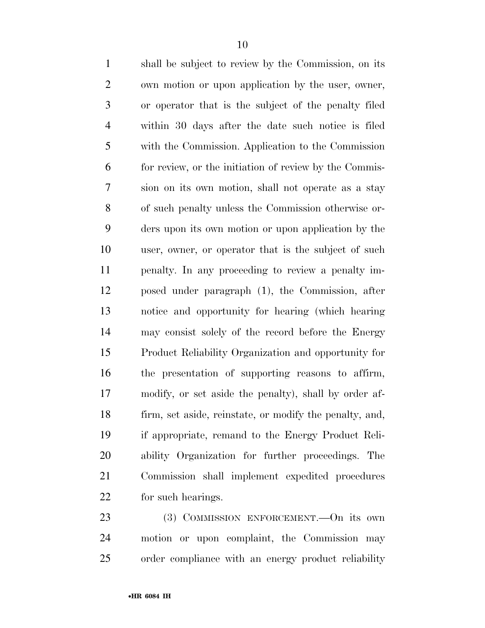shall be subject to review by the Commission, on its own motion or upon application by the user, owner, or operator that is the subject of the penalty filed within 30 days after the date such notice is filed with the Commission. Application to the Commission for review, or the initiation of review by the Commis- sion on its own motion, shall not operate as a stay of such penalty unless the Commission otherwise or- ders upon its own motion or upon application by the user, owner, or operator that is the subject of such penalty. In any proceeding to review a penalty im- posed under paragraph (1), the Commission, after notice and opportunity for hearing (which hearing may consist solely of the record before the Energy Product Reliability Organization and opportunity for the presentation of supporting reasons to affirm, modify, or set aside the penalty), shall by order af- firm, set aside, reinstate, or modify the penalty, and, if appropriate, remand to the Energy Product Reli- ability Organization for further proceedings. The Commission shall implement expedited procedures for such hearings.

23 (3) COMMISSION ENFORCEMENT. - On its own motion or upon complaint, the Commission may order compliance with an energy product reliability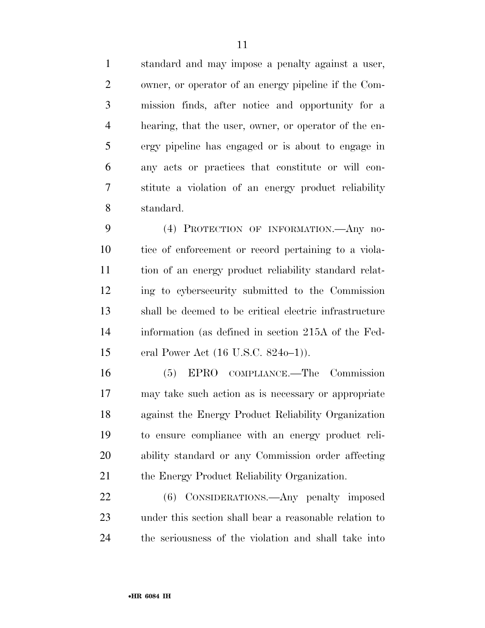standard and may impose a penalty against a user, owner, or operator of an energy pipeline if the Com- mission finds, after notice and opportunity for a hearing, that the user, owner, or operator of the en- ergy pipeline has engaged or is about to engage in any acts or practices that constitute or will con- stitute a violation of an energy product reliability standard.

 (4) PROTECTION OF INFORMATION.—Any no- tice of enforcement or record pertaining to a viola- tion of an energy product reliability standard relat- ing to cybersecurity submitted to the Commission shall be deemed to be critical electric infrastructure information (as defined in section 215A of the Fed-eral Power Act (16 U.S.C. 824o–1)).

 (5) EPRO COMPLIANCE.—The Commission may take such action as is necessary or appropriate against the Energy Product Reliability Organization to ensure compliance with an energy product reli- ability standard or any Commission order affecting 21 the Energy Product Reliability Organization.

 (6) CONSIDERATIONS.—Any penalty imposed under this section shall bear a reasonable relation to the seriousness of the violation and shall take into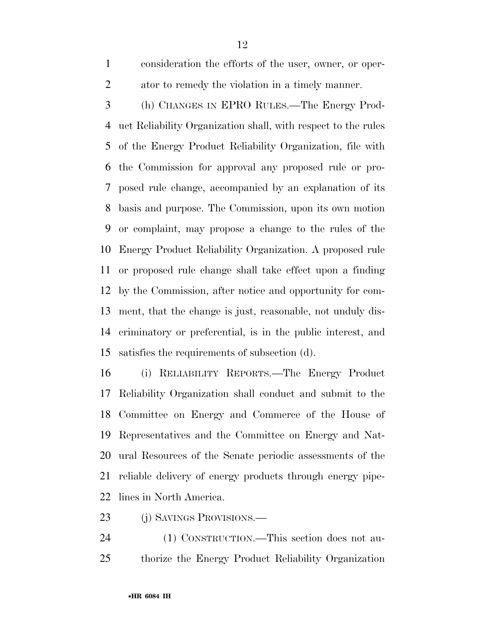consideration the efforts of the user, owner, or oper-ator to remedy the violation in a timely manner.

 (h) CHANGES IN EPRO RULES.—The Energy Prod- uct Reliability Organization shall, with respect to the rules of the Energy Product Reliability Organization, file with the Commission for approval any proposed rule or pro- posed rule change, accompanied by an explanation of its basis and purpose. The Commission, upon its own motion or complaint, may propose a change to the rules of the Energy Product Reliability Organization. A proposed rule or proposed rule change shall take effect upon a finding by the Commission, after notice and opportunity for com- ment, that the change is just, reasonable, not unduly dis- criminatory or preferential, is in the public interest, and satisfies the requirements of subsection (d).

 (i) RELIABILITY REPORTS.—The Energy Product Reliability Organization shall conduct and submit to the Committee on Energy and Commerce of the House of Representatives and the Committee on Energy and Nat- ural Resources of the Senate periodic assessments of the reliable delivery of energy products through energy pipe-lines in North America.

- (j) SAVINGS PROVISIONS.—
- (1) CONSTRUCTION.—This section does not au-thorize the Energy Product Reliability Organization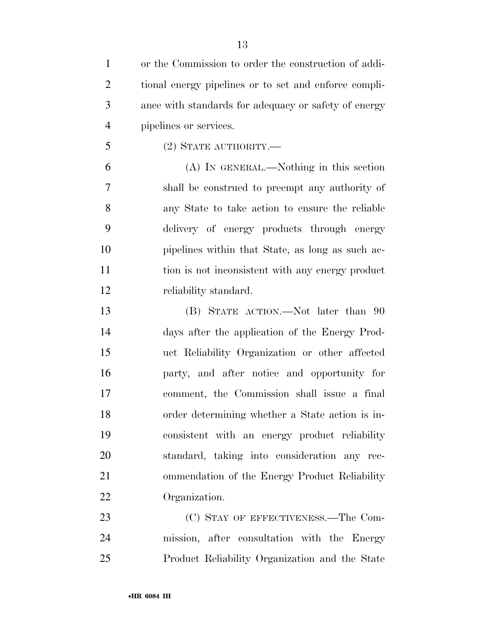| $\mathbf{1}$   | or the Commission to order the construction of addi-  |
|----------------|-------------------------------------------------------|
| $\overline{2}$ | tional energy pipelines or to set and enforce compli- |
| 3              | ance with standards for adequacy or safety of energy  |
| $\overline{4}$ | pipelines or services.                                |
| 5              | $(2)$ STATE AUTHORITY.—                               |
| 6              | (A) IN GENERAL.—Nothing in this section               |
| 7              | shall be construed to preempt any authority of        |
| 8              | any State to take action to ensure the reliable       |
| 9              | delivery of energy products through energy            |
| 10             | pipelines within that State, as long as such ac-      |
| 11             | tion is not inconsistent with any energy product      |
| 12             | reliability standard.                                 |
| 13             | (B) STATE ACTION.—Not later than 90                   |
| 14             | days after the application of the Energy Prod-        |
| 15             | uct Reliability Organization or other affected        |
| 16             | party, and after notice and opportunity for           |
| 17             | comment, the Commission shall issue a final           |
| 18             | order determining whether a State action is in-       |
| 19             | consistent with an energy product reliability         |
| 20             | standard, taking into consideration any rec-          |
| 21             | ommendation of the Energy Product Reliability         |
| 22             | Organization.                                         |
| 23             | (C) STAY OF EFFECTIVENESS.—The Com-                   |
| 24             | mission, after consultation with the Energy           |

Product Reliability Organization and the State